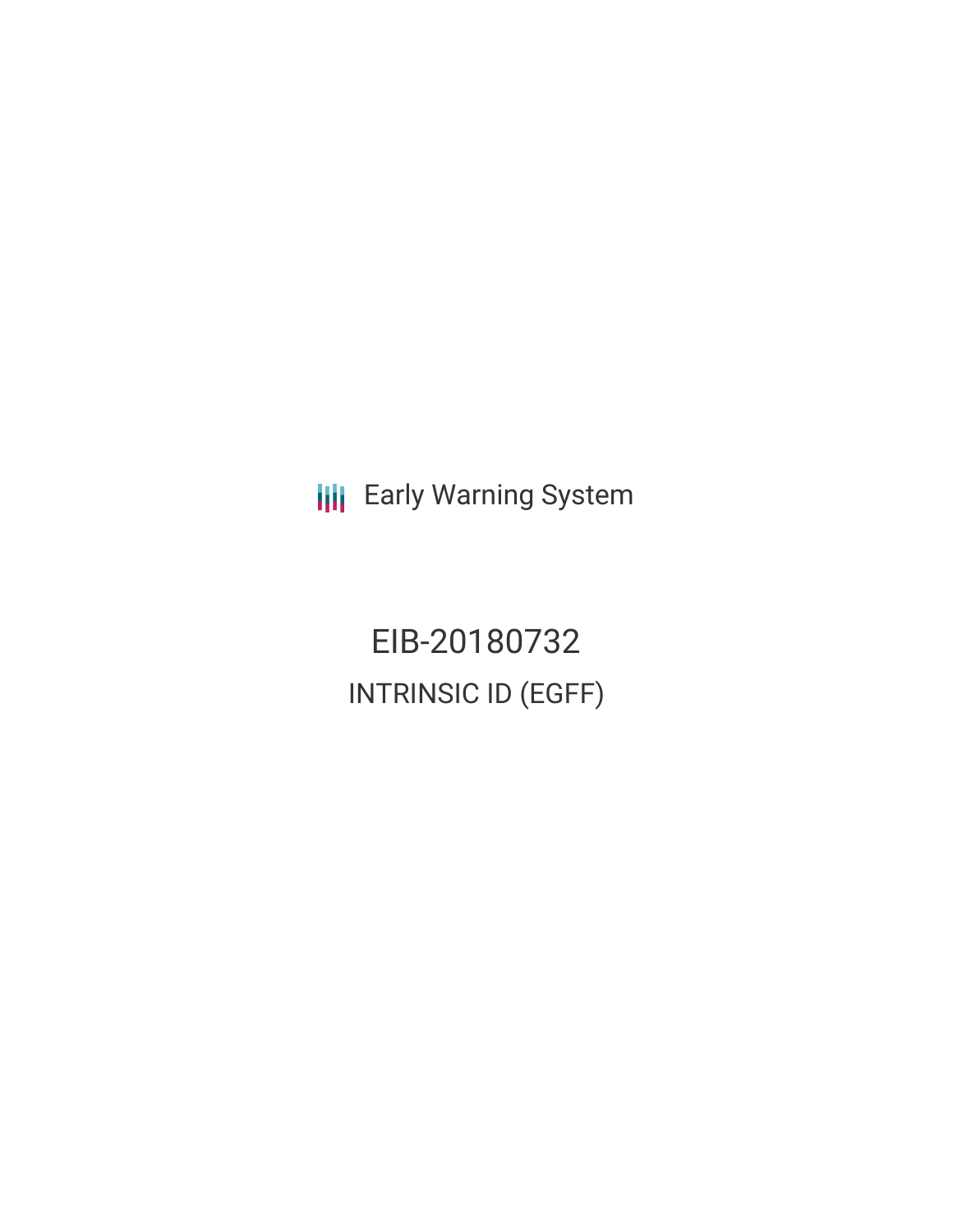**III** Early Warning System

EIB-20180732 INTRINSIC ID (EGFF)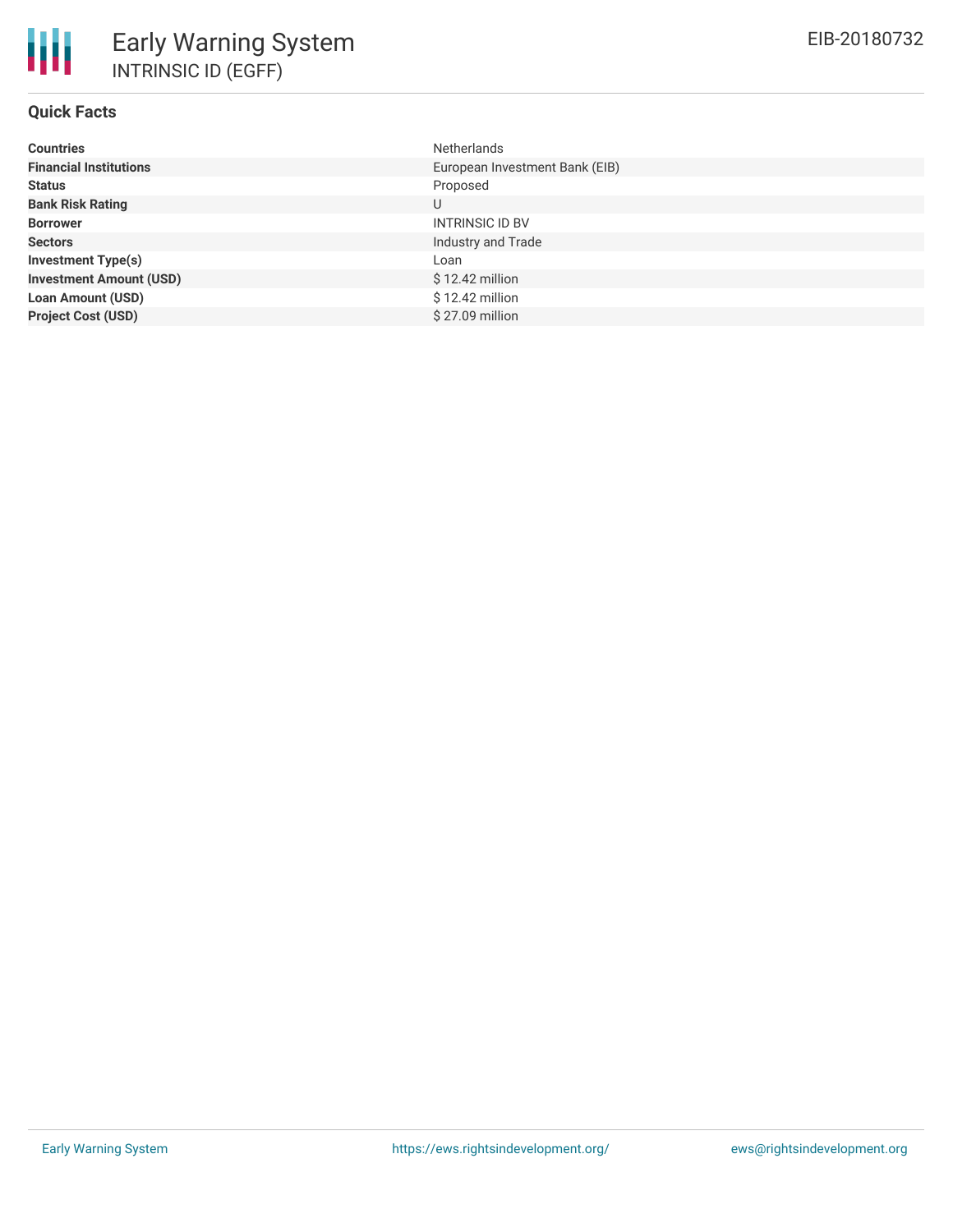| <b>Countries</b>               | <b>Netherlands</b>             |
|--------------------------------|--------------------------------|
| <b>Financial Institutions</b>  | European Investment Bank (EIB) |
| <b>Status</b>                  | Proposed                       |
| <b>Bank Risk Rating</b>        | U                              |
| <b>Borrower</b>                | <b>INTRINSIC ID BV</b>         |
| <b>Sectors</b>                 | Industry and Trade             |
| <b>Investment Type(s)</b>      | Loan                           |
| <b>Investment Amount (USD)</b> | $$12.42$ million               |
| <b>Loan Amount (USD)</b>       | $$12.42$ million               |
| <b>Project Cost (USD)</b>      | \$27.09 million                |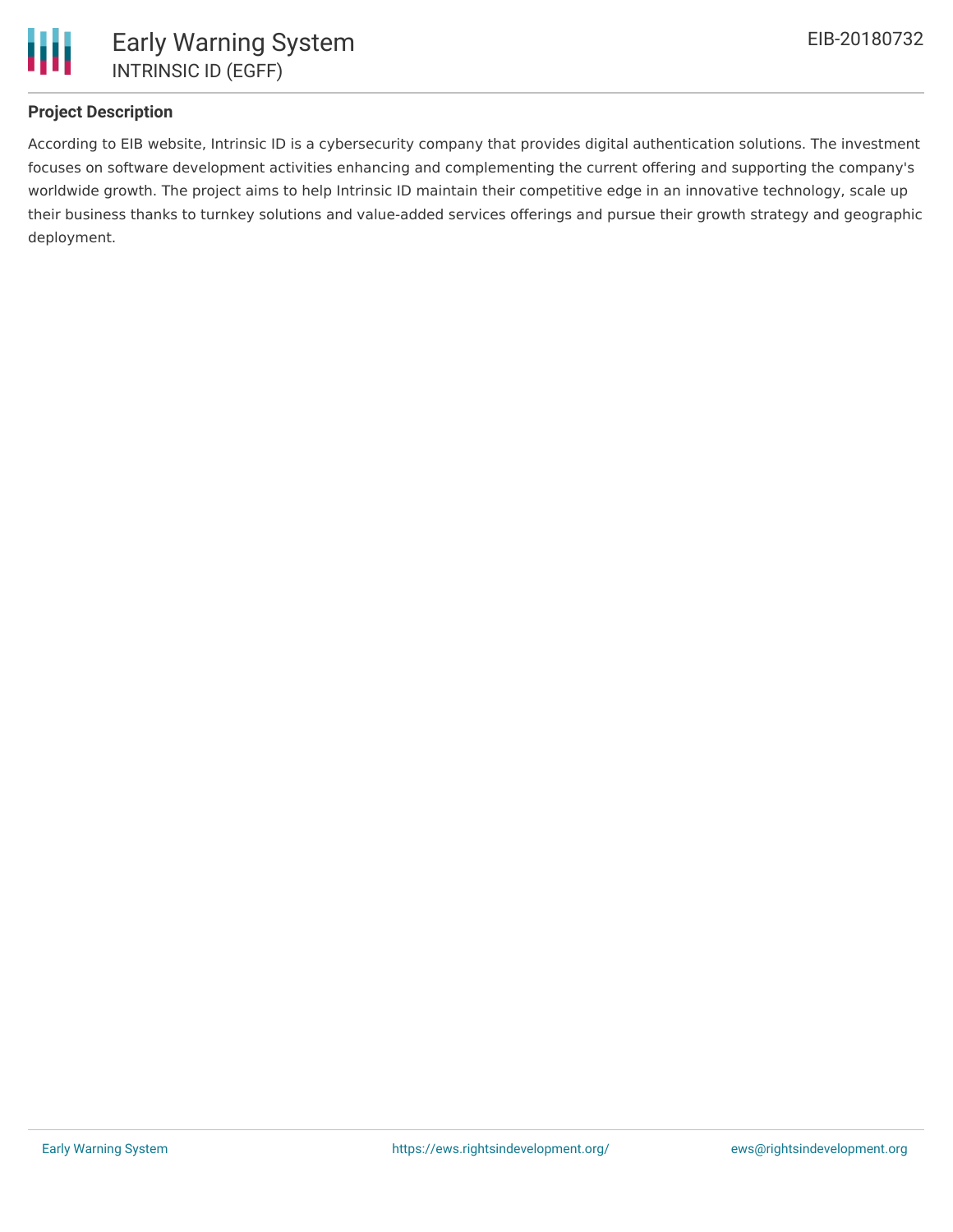

## **Project Description**

According to EIB website, Intrinsic ID is a cybersecurity company that provides digital authentication solutions. The investment focuses on software development activities enhancing and complementing the current offering and supporting the company's worldwide growth. The project aims to help Intrinsic ID maintain their competitive edge in an innovative technology, scale up their business thanks to turnkey solutions and value-added services offerings and pursue their growth strategy and geographic deployment.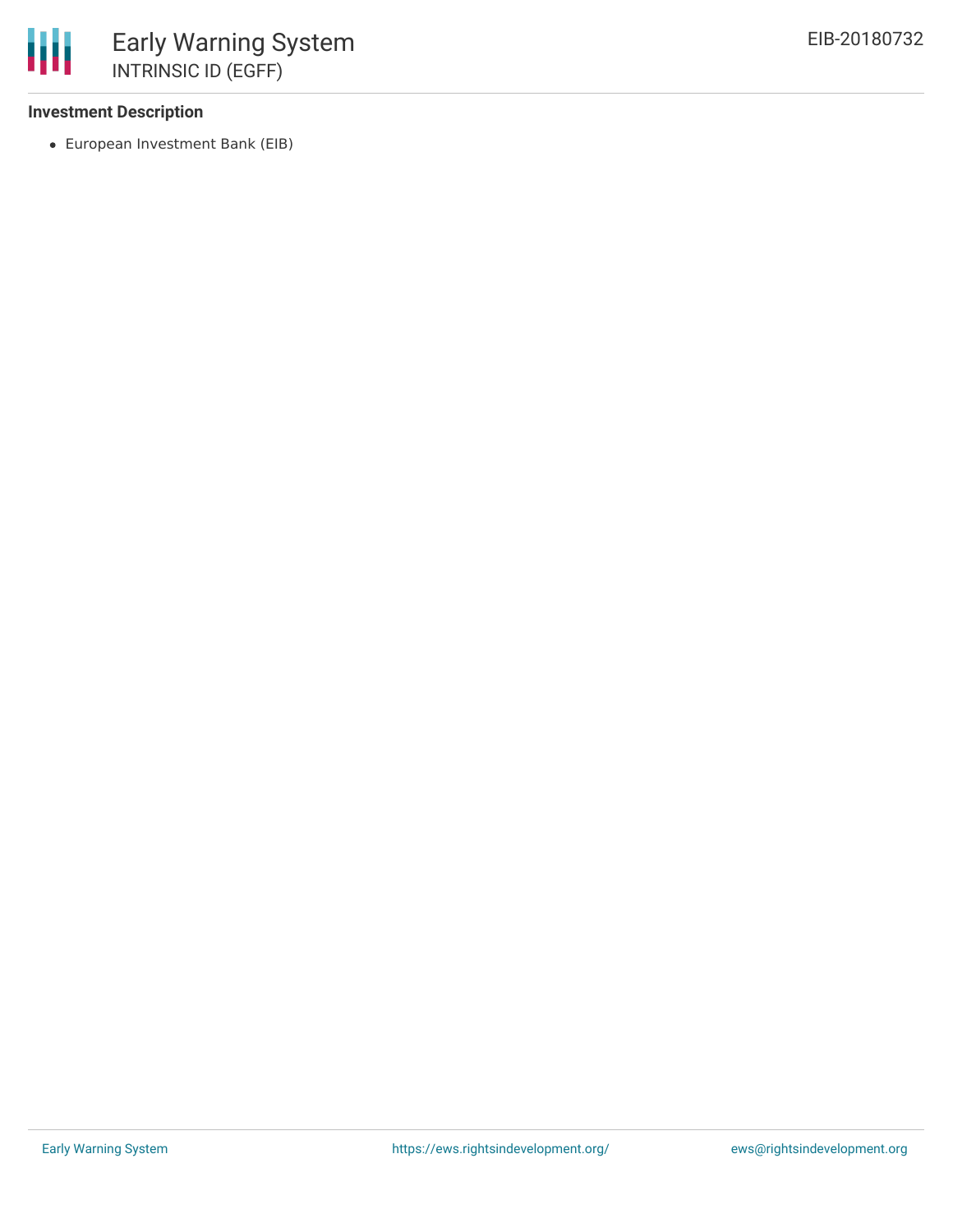## **Investment Description**

European Investment Bank (EIB)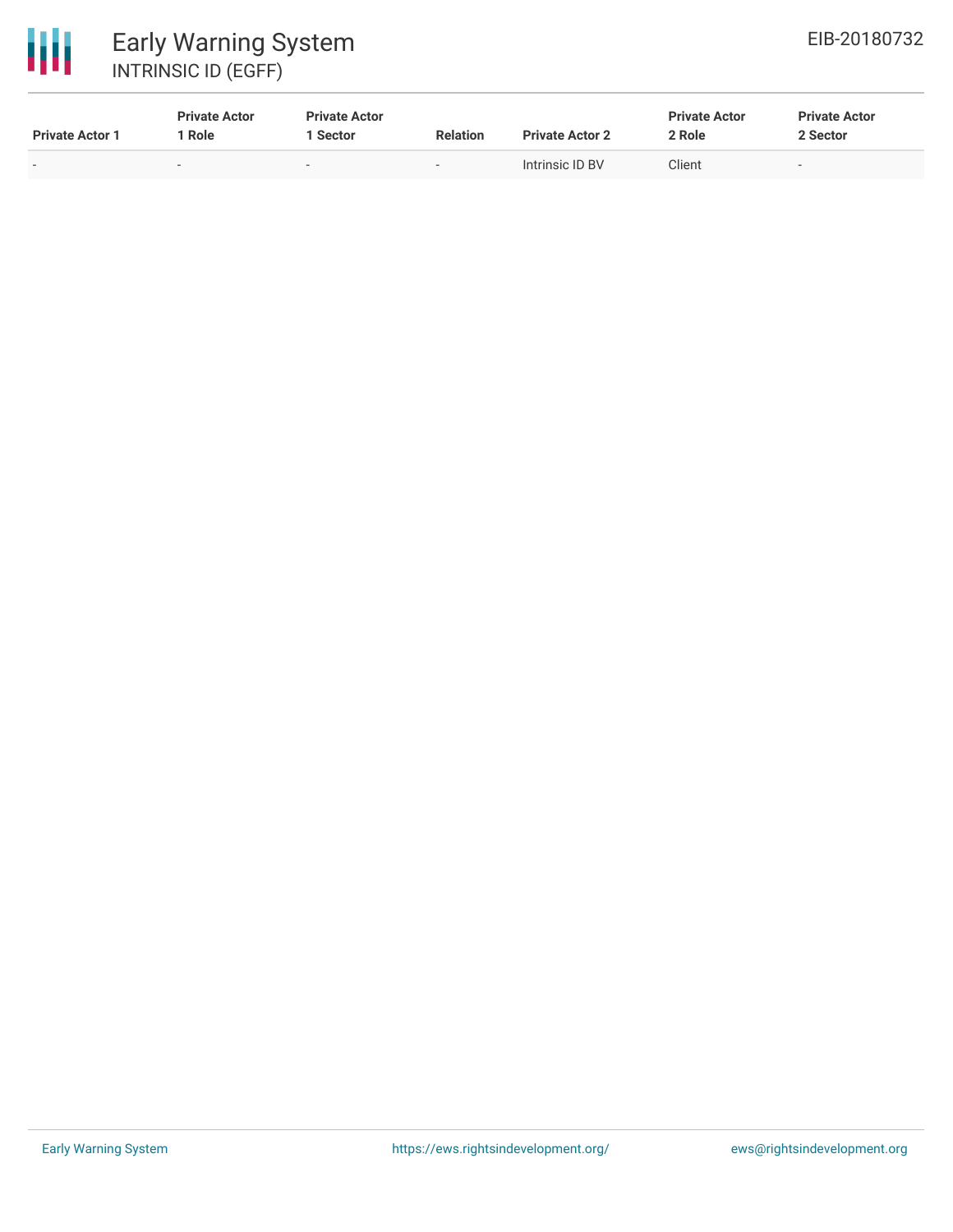

| <b>Private Actor 1</b>   | <b>Private Actor</b><br>' Role | <b>Private Actor</b><br>Sector | <b>Relation</b>          | <b>Private Actor 2</b> | <b>Private Actor</b><br>2 Role | <b>Private Actor</b><br>2 Sector |
|--------------------------|--------------------------------|--------------------------------|--------------------------|------------------------|--------------------------------|----------------------------------|
| $\overline{\phantom{0}}$ | $\overline{\phantom{a}}$       | $\overline{\phantom{a}}$       | $\overline{\phantom{0}}$ | Intrinsic ID BV        | Client                         | $\overline{\phantom{a}}$         |